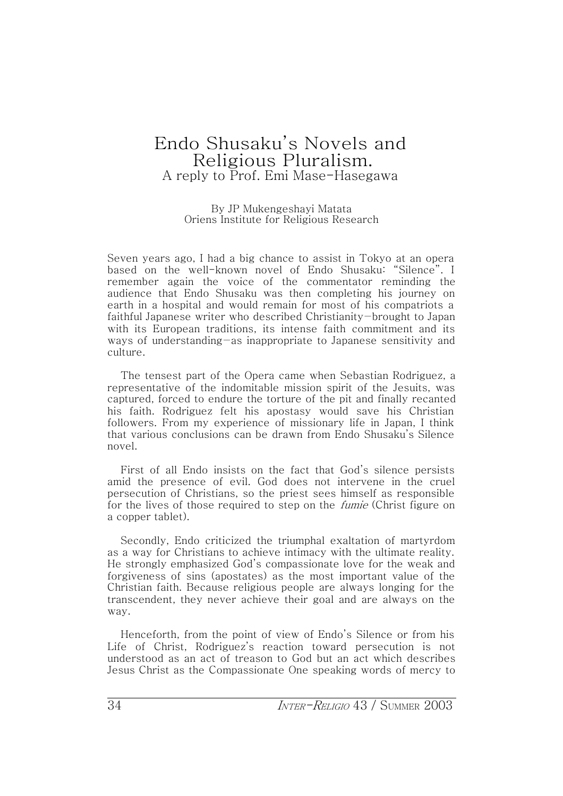## Endo Shusaku˅s Novels and Religious Pluralism. A reply to Prof. Emi Mase-Hasegawa

By JP Mukengeshayi Matata Oriens Institute for Religious Research

Seven years ago, I had a big chance to assist in Tokyo at an opera based on the well-known novel of Endo Shusaku: "Silence". I remember again the voice of the commentator reminding the audience that Endo Shusaku was then completing his journey on earth in a hospital and would remain for most of his compatriots a faithful Japanese writer who described Christianity-brought to Japan with its European traditions, its intense faith commitment and its ways of understanding as inappropriate to Japanese sensitivity and culture.

The tensest part of the Opera came when Sebastian Rodriguez, a representative of the indomitable mission spirit of the Jesuits, was captured, forced to endure the torture of the pit and finally recanted his faith. Rodriguez felt his apostasy would save his Christian followers. From my experience of missionary life in Japan, I think that various conclusions can be drawn from Endo Shusaku's Silence novel.

First of all Endo insists on the fact that God's silence persists amid the presence of evil. God does not intervene in the cruel persecution of Christians, so the priest sees himself as responsible for the lives of those required to step on the *fumie* (Christ figure on a copper tablet).

Secondly, Endo criticized the triumphal exaltation of martyrdom as a way for Christians to achieve intimacy with the ultimate reality. He strongly emphasized God's compassionate love for the weak and forgiveness of sins (apostates) as the most important value of the Christian faith. Because religious people are always longing for the transcendent, they never achieve their goal and are always on the way.

Henceforth, from the point of view of Endo's Silence or from his Life of Christ, Rodriguez's reaction toward persecution is not understood as an act of treason to God but an act which describes Jesus Christ as the Compassionate One speaking words of mercy to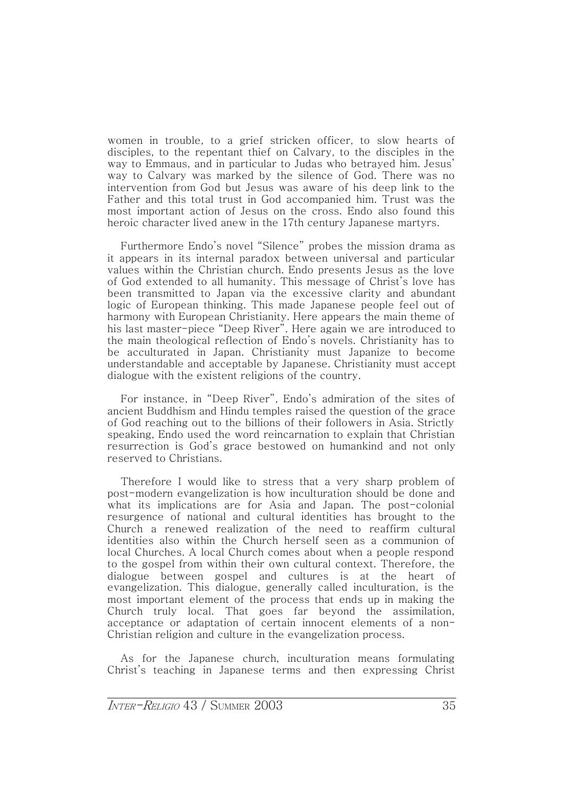women in trouble, to a grief stricken officer, to slow hearts of disciples, to the repentant thief on Calvary, to the disciples in the way to Emmaus, and in particular to Judas who betraved him. Jesus' way to Calvary was marked by the silence of God. There was no intervention from God but Jesus was aware of his deep link to the Father and this total trust in God accompanied him. Trust was the most important action of Jesus on the cross. Endo also found this heroic character lived anew in the 17th century Japanese martyrs.

Furthermore Endo's novel "Silence" probes the mission drama as it appears in its internal paradox between universal and particular values within the Christian church. Endo presents Jesus as the love of God extended to all humanity. This message of Christ's love has been transmitted to Japan via the excessive clarity and abundant logic of European thinking. This made Japanese people feel out of harmony with European Christianity. Here appears the main theme of his last master-piece "Deep River". Here again we are introduced to the main theological reflection of Endo's novels. Christianity has to be acculturated in Japan. Christianity must Japanize to become understandable and acceptable by Japanese. Christianity must accept dialogue with the existent religions of the country.

For instance, in ˈDeep Riverˉ, Endo˅s admiration of the sites of ancient Buddhism and Hindu temples raised the question of the grace of God reaching out to the billions of their followers in Asia. Strictly speaking, Endo used the word reincarnation to explain that Christian resurrection is God's grace bestowed on humankind and not only reserved to Christians.

Therefore I would like to stress that a very sharp problem of post-modern evangelization is how inculturation should be done and what its implications are for Asia and Japan. The post-colonial resurgence of national and cultural identities has brought to the Church a renewed realization of the need to reaffirm cultural identities also within the Church herself seen as a communion of local Churches. A local Church comes about when a people respond to the gospel from within their own cultural context. Therefore, the dialogue between gospel and cultures is at the heart of evangelization. This dialogue, generally called inculturation, is the most important element of the process that ends up in making the Church truly local. That goes far beyond the assimilation, acceptance or adaptation of certain innocent elements of a non-Christian religion and culture in the evangelization process.

As for the Japanese church, inculturation means formulating Christ's teaching in Japanese terms and then expressing Christ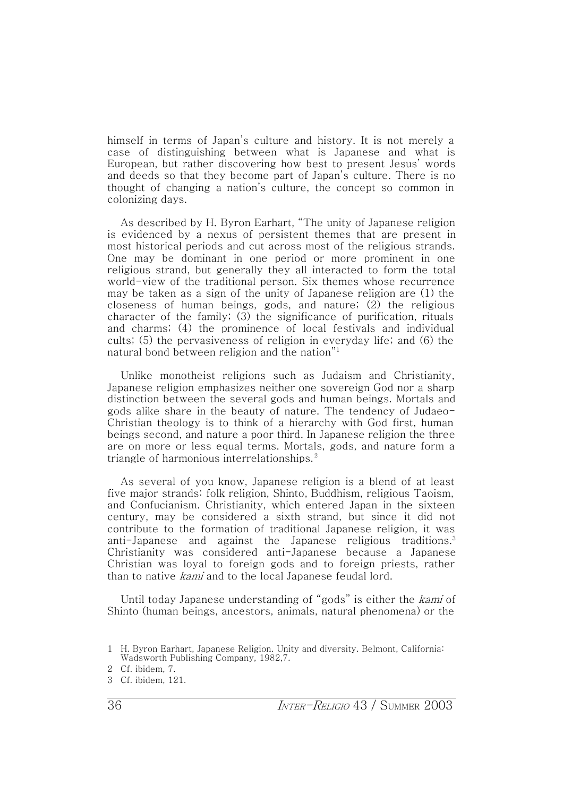himself in terms of Japan's culture and history. It is not merely a case of distinguishing between what is Japanese and what is European, but rather discovering how best to present Jesus˅ words and deeds so that they become part of Japan's culture. There is no thought of changing a nation's culture, the concept so common in colonizing days.

As described by H. Byron Earhart, "The unity of Japanese religion is evidenced by a nexus of persistent themes that are present in most historical periods and cut across most of the religious strands. One may be dominant in one period or more prominent in one religious strand, but generally they all interacted to form the total world-view of the traditional person. Six themes whose recurrence may be taken as a sign of the unity of Japanese religion are  $(1)$  the closeness of human beings, gods, and nature; (2) the religious character of the family; (3) the significance of purification, rituals and charms; (4) the prominence of local festivals and individual cults; (5) the pervasiveness of religion in everyday life; and (6) the natural bond between religion and the nation $^{\prime\prime}{}^{\prime}{}$ 

Unlike monotheist religions such as Judaism and Christianity, Japanese religion emphasizes neither one sovereign God nor a sharp distinction between the several gods and human beings. Mortals and gods alike share in the beauty of nature. The tendency of Judaeo-Christian theology is to think of a hierarchy with God first, human beings second, and nature a poor third. In Japanese religion the three are on more or less equal terms. Mortals, gods, and nature form a triangle of harmonious interrelationships. <sup>2</sup>

As several of you know, Japanese religion is a blend of at least five major strands: folk religion, Shinto, Buddhism, religious Taoism, and Confucianism. Christianity, which entered Japan in the sixteen century, may be considered a sixth strand, but since it did not contribute to the formation of traditional Japanese religion, it was anti-Japanese and against the Japanese religious traditions.<sup>3</sup> Christianity was considered anti-Japanese because a Japanese Christian was loyal to foreign gods and to foreign priests, rather than to native *kami* and to the local Japanese feudal lord.

Until today Japanese understanding of "gods" is either the kami of Shinto (human beings, ancestors, animals, natural phenomena) or the

<sup>1</sup> H. Byron Earhart, Japanese Religion. Unity and diversity. Belmont, California: Wadsworth Publishing Company, 1982.7.

<sup>2</sup> Cf. ibidem, 7.

<sup>3</sup> Cf. ibidem, 121.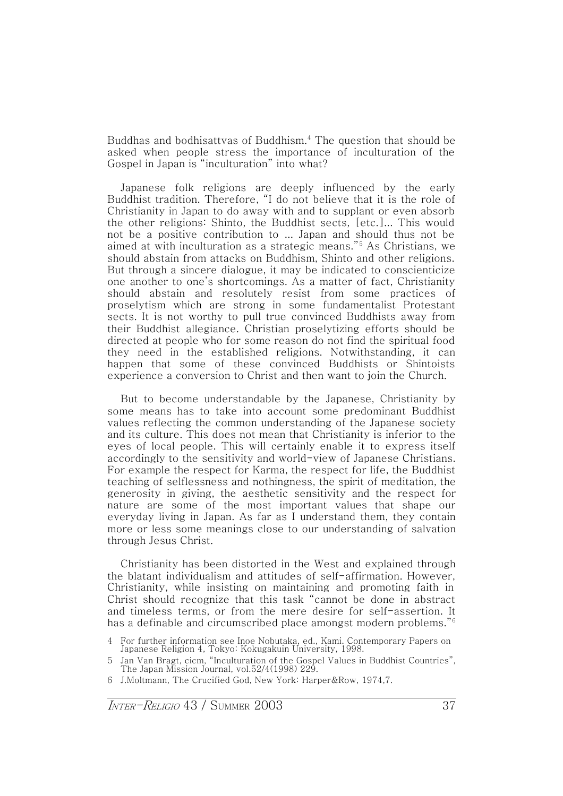Buddhas and bodhisattvas of Buddhism.4 The question that should be asked when people stress the importance of inculturation of the Gospel in Japan is "inculturation" into what?

Japanese folk religions are deeply influenced by the early Buddhist tradition. Therefore, ˈI do not believe that it is the role of Christianity in Japan to do away with and to supplant or even absorb the other religions: Shinto, the Buddhist sects, [etc.]... This would not be a positive contribution to ... Japan and should thus not be aimed at with inculturation as a strategic means.ˉ<sup>5</sup> As Christians, we should abstain from attacks on Buddhism, Shinto and other religions. But through a sincere dialogue, it may be indicated to conscienticize one another to one˅s shortcomings. As a matter of fact, Christianity should abstain and resolutely resist from some practices of proselytism which are strong in some fundamentalist Protestant sects. It is not worthy to pull true convinced Buddhists away from their Buddhist allegiance. Christian proselytizing efforts should be directed at people who for some reason do not find the spiritual food they need in the established religions. Notwithstanding, it can happen that some of these convinced Buddhists or Shintoists experience a conversion to Christ and then want to join the Church.

But to become understandable by the Japanese, Christianity by some means has to take into account some predominant Buddhist values reflecting the common understanding of the Japanese society and its culture. This does not mean that Christianity is inferior to the eyes of local people. This will certainly enable it to express itself accordingly to the sensitivity and world-view of Japanese Christians. For example the respect for Karma, the respect for life, the Buddhist teaching of selflessness and nothingness, the spirit of meditation, the generosity in giving, the aesthetic sensitivity and the respect for nature are some of the most important values that shape our everyday living in Japan. As far as I understand them, they contain more or less some meanings close to our understanding of salvation through Jesus Christ.

Christianity has been distorted in the West and explained through the blatant individualism and attitudes of self-affirmation. However, Christianity, while insisting on maintaining and promoting faith in Christ should recognize that this task ˈcannot be done in abstract and timeless terms, or from the mere desire for self-assertion. It has a definable and circumscribed place amongst modern problems.<sup>"6</sup>

6 J.Moltmann, The Crucified God, New York: Harper&Row, 1974,7.

<sup>4</sup> For further information see Inoe Nobutaka, ed., Kami. Contemporary Papers on Japanese Religion 4, Tokyo: Kokugakuin University, 1998.

Jan Van Bragt, cicm, "Inculturation of the Gospel Values in Buddhist Countries", The Japan Mission Journal, vol.52/4(1998) 229.